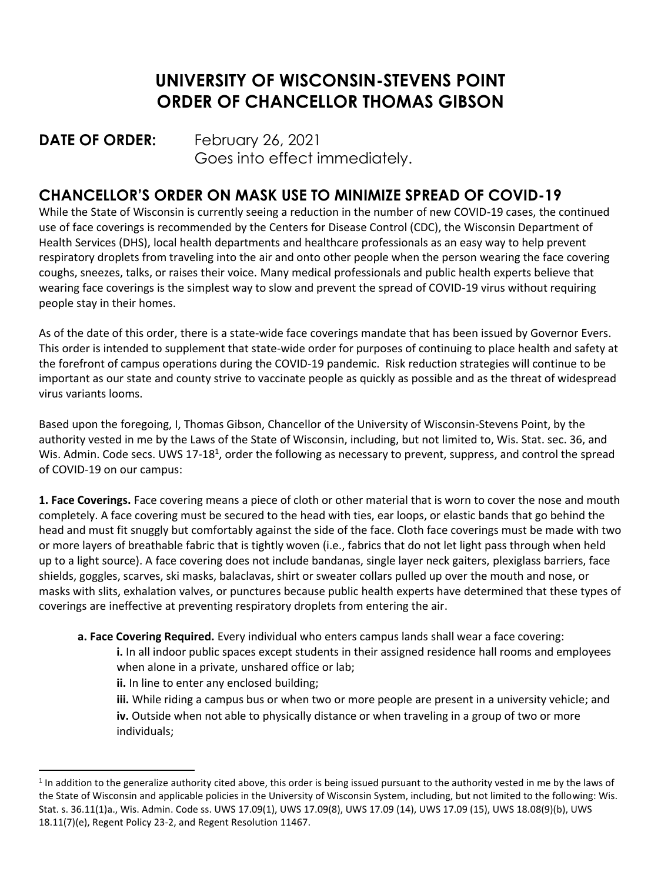## **UNIVERSITY OF WISCONSIN-STEVENS POINT ORDER OF CHANCELLOR THOMAS GIBSON**

## **DATE OF ORDER:** February 26, 2021 Goes into effect immediately.

## **CHANCELLOR'S ORDER ON MASK USE TO MINIMIZE SPREAD OF COVID-19**

While the State of Wisconsin is currently seeing a reduction in the number of new COVID-19 cases, the continued use of face coverings is recommended by the Centers for Disease Control (CDC), the Wisconsin Department of Health Services (DHS), local health departments and healthcare professionals as an easy way to help prevent respiratory droplets from traveling into the air and onto other people when the person wearing the face covering coughs, sneezes, talks, or raises their voice. Many medical professionals and public health experts believe that wearing face coverings is the simplest way to slow and prevent the spread of COVID-19 virus without requiring people stay in their homes.

As of the date of this order, there is a state-wide face coverings mandate that has been issued by Governor Evers. This order is intended to supplement that state-wide order for purposes of continuing to place health and safety at the forefront of campus operations during the COVID-19 pandemic. Risk reduction strategies will continue to be important as our state and county strive to vaccinate people as quickly as possible and as the threat of widespread virus variants looms.

Based upon the foregoing, I, Thomas Gibson, Chancellor of the University of Wisconsin-Stevens Point, by the authority vested in me by the Laws of the State of Wisconsin, including, but not limited to, Wis. Stat. sec. 36, and Wis. Admin. Code secs. UWS 17-18<sup>1</sup>, order the following as necessary to prevent, suppress, and control the spread of COVID-19 on our campus:

**1. Face Coverings.** Face covering means a piece of cloth or other material that is worn to cover the nose and mouth completely. A face covering must be secured to the head with ties, ear loops, or elastic bands that go behind the head and must fit snuggly but comfortably against the side of the face. Cloth face coverings must be made with two or more layers of breathable fabric that is tightly woven (i.e., fabrics that do not let light pass through when held up to a light source). A face covering does not include bandanas, single layer neck gaiters, plexiglass barriers, face shields, goggles, scarves, ski masks, balaclavas, shirt or sweater collars pulled up over the mouth and nose, or masks with slits, exhalation valves, or punctures because public health experts have determined that these types of coverings are ineffective at preventing respiratory droplets from entering the air.

**a. Face Covering Required.** Every individual who enters campus lands shall wear a face covering:

**i.** In all indoor public spaces except students in their assigned residence hall rooms and employees when alone in a private, unshared office or lab;

**ii.** In line to enter any enclosed building;

**iii.** While riding a campus bus or when two or more people are present in a university vehicle; and **iv.** Outside when not able to physically distance or when traveling in a group of two or more individuals;

 $<sup>1</sup>$  In addition to the generalize authority cited above, this order is being issued pursuant to the authority vested in me by the laws of</sup> the State of Wisconsin and applicable policies in the University of Wisconsin System, including, but not limited to the following: Wis. Stat. s. 36.11(1)a., Wis. Admin. Code ss. UWS 17.09(1), UWS 17.09(8), UWS 17.09 (14), UWS 17.09 (15), UWS 18.08(9)(b), UWS 18.11(7)(e), Regent Policy 23-2, and Regent Resolution 11467.